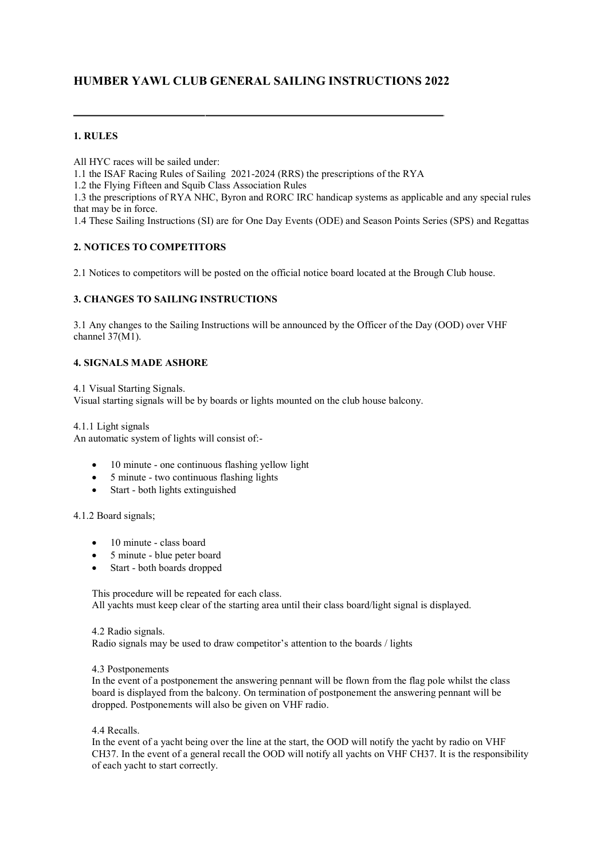# **HUMBER YAWL CLUB GENERAL SAILING INSTRUCTIONS 2022**

# **1. RULES**

All HYC races will be sailed under:

1.1 the ISAF Racing Rules of Sailing 2021-2024 (RRS) the prescriptions of the RYA

1.2 the Flying Fifteen and Squib Class Association Rules

1.3 the prescriptions of RYA NHC, Byron and RORC IRC handicap systems as applicable and any special rules that may be in force.

1.4 These Sailing Instructions (SI) are for One Day Events (ODE) and Season Points Series (SPS) and Regattas

# **2. NOTICES TO COMPETITORS**

2.1 Notices to competitors will be posted on the official notice board located at the Brough Club house.

# **3. CHANGES TO SAILING INSTRUCTIONS**

3.1 Any changes to the Sailing Instructions will be announced by the Officer of the Day (OOD) over VHF channel 37(M1).

### **4. SIGNALS MADE ASHORE**

4.1 Visual Starting Signals. Visual starting signals will be by boards or lights mounted on the club house balcony.

4.1.1 Light signals An automatic system of lights will consist of:-

- 10 minute one continuous flashing yellow light
- 5 minute two continuous flashing lights
- Start both lights extinguished

### 4.1.2 Board signals;

- 10 minute class board
- 5 minute blue peter board
- Start both boards dropped

This procedure will be repeated for each class. All yachts must keep clear of the starting area until their class board/light signal is displayed.

4.2 Radio signals. Radio signals may be used to draw competitor's attention to the boards / lights

#### 4.3 Postponements

In the event of a postponement the answering pennant will be flown from the flag pole whilst the class board is displayed from the balcony. On termination of postponement the answering pennant will be dropped. Postponements will also be given on VHF radio.

4.4 Recalls.

In the event of a yacht being over the line at the start, the OOD will notify the yacht by radio on VHF CH37. In the event of a general recall the OOD will notify all yachts on VHF CH37. It is the responsibility of each yacht to start correctly.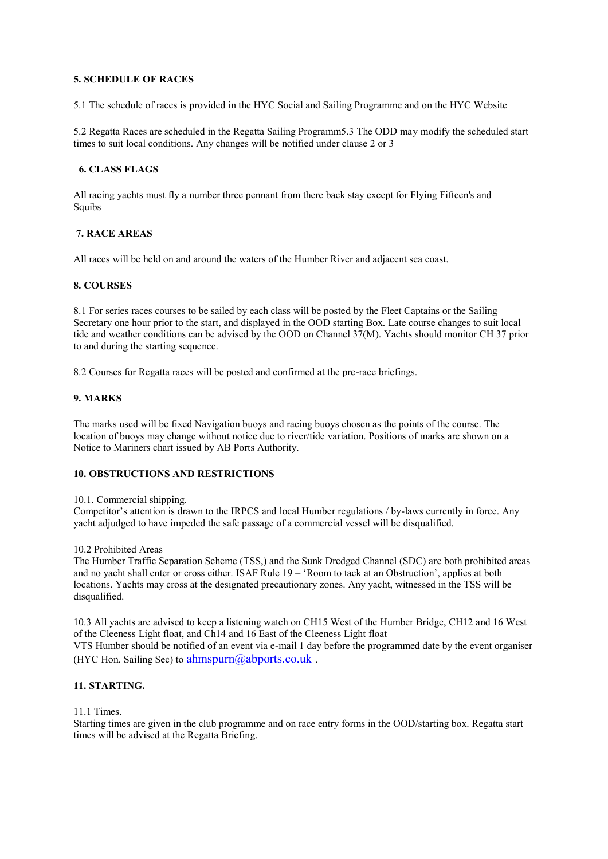# **5. SCHEDULE OF RACES**

5.1 The schedule of races is provided in the HYC Social and Sailing Programme and on the HYC Website

5.2 Regatta Races are scheduled in the Regatta Sailing Programm5.3 The ODD may modify the scheduled start times to suit local conditions. Any changes will be notified under clause 2 or 3

# **6. CLASS FLAGS**

All racing yachts must fly a number three pennant from there back stay except for Flying Fifteen's and Squibs

# **7. RACE AREAS**

All races will be held on and around the waters of the Humber River and adjacent sea coast.

# **8. COURSES**

8.1 For series races courses to be sailed by each class will be posted by the Fleet Captains or the Sailing Secretary one hour prior to the start, and displayed in the OOD starting Box. Late course changes to suit local tide and weather conditions can be advised by the OOD on Channel 37(M). Yachts should monitor CH 37 prior to and during the starting sequence.

8.2 Courses for Regatta races will be posted and confirmed at the pre-race briefings.

### **9. MARKS**

The marks used will be fixed Navigation buoys and racing buoys chosen as the points of the course. The location of buoys may change without notice due to river/tide variation. Positions of marks are shown on a Notice to Mariners chart issued by AB Ports Authority.

# **10. OBSTRUCTIONS AND RESTRICTIONS**

#### 10.1. Commercial shipping.

Competitor's attention is drawn to the IRPCS and local Humber regulations / by-laws currently in force. Any yacht adjudged to have impeded the safe passage of a commercial vessel will be disqualified.

#### 10.2 Prohibited Areas

The Humber Traffic Separation Scheme (TSS,) and the Sunk Dredged Channel (SDC) are both prohibited areas and no yacht shall enter or cross either. ISAF Rule 19 – 'Room to tack at an Obstruction', applies at both locations. Yachts may cross at the designated precautionary zones. Any yacht, witnessed in the TSS will be disqualified.

10.3 All yachts are advised to keep a listening watch on CH15 West of the Humber Bridge, CH12 and 16 West of the Cleeness Light float, and Ch14 and 16 East of the Cleeness Light float VTS Humber should be notified of an event via e-mail 1 day before the programmed date by the event organiser (HYC Hon. Sailing Sec) to  $\frac{ahmspurn@abports.co.uk}$ .

# **11. STARTING.**

### 11.1 Times.

Starting times are given in the club programme and on race entry forms in the OOD/starting box. Regatta start times will be advised at the Regatta Briefing.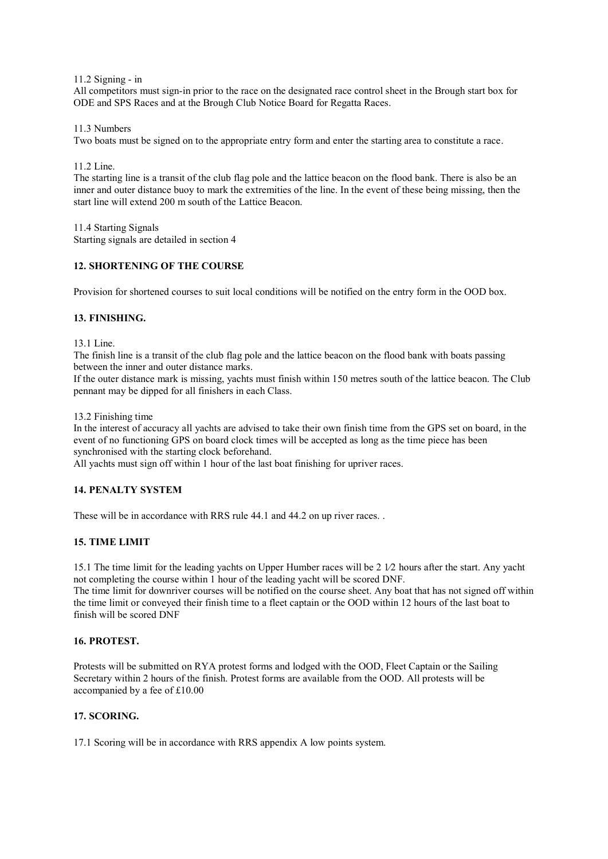11.2 Signing - in

All competitors must sign-in prior to the race on the designated race control sheet in the Brough start box for ODE and SPS Races and at the Brough Club Notice Board for Regatta Races.

11.3 Numbers

Two boats must be signed on to the appropriate entry form and enter the starting area to constitute a race.

11.2 Line.

The starting line is a transit of the club flag pole and the lattice beacon on the flood bank. There is also be an inner and outer distance buoy to mark the extremities of the line. In the event of these being missing, then the start line will extend 200 m south of the Lattice Beacon.

11.4 Starting Signals Starting signals are detailed in section 4

# **12. SHORTENING OF THE COURSE**

Provision for shortened courses to suit local conditions will be notified on the entry form in the OOD box.

### **13. FINISHING.**

13.1 Line.

The finish line is a transit of the club flag pole and the lattice beacon on the flood bank with boats passing between the inner and outer distance marks.

If the outer distance mark is missing, yachts must finish within 150 metres south of the lattice beacon. The Club pennant may be dipped for all finishers in each Class.

#### 13.2 Finishing time

In the interest of accuracy all yachts are advised to take their own finish time from the GPS set on board, in the event of no functioning GPS on board clock times will be accepted as long as the time piece has been synchronised with the starting clock beforehand.

All yachts must sign off within 1 hour of the last boat finishing for upriver races.

# **14. PENALTY SYSTEM**

These will be in accordance with RRS rule 44.1 and 44.2 on up river races...

# **15. TIME LIMIT**

15.1 The time limit for the leading yachts on Upper Humber races will be 2 1⁄2 hours after the start. Any yacht not completing the course within 1 hour of the leading yacht will be scored DNF. The time limit for downriver courses will be notified on the course sheet. Any boat that has not signed off within

the time limit or conveyed their finish time to a fleet captain or the OOD within 12 hours of the last boat to finish will be scored DNF

# **16. PROTEST.**

Protests will be submitted on RYA protest forms and lodged with the OOD, Fleet Captain or the Sailing Secretary within 2 hours of the finish. Protest forms are available from the OOD. All protests will be accompanied by a fee of £10.00

### **17. SCORING.**

17.1 Scoring will be in accordance with RRS appendix A low points system.